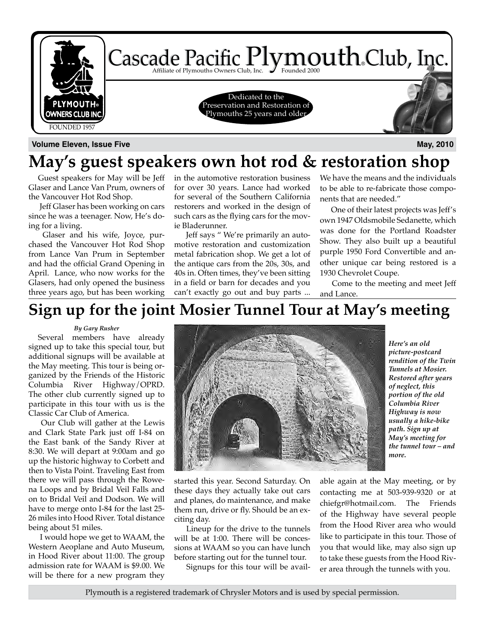

**Volume Eleven, Issue Five May, 2010**

### **May's guest speakers own hot rod & restoration shop**

Guest speakers for May will be Jeff Glaser and Lance Van Prum, owners of the Vancouver Hot Rod Shop.

 Jeff Glaser has been working on cars since he was a teenager. Now, He's doing for a living.

 Glaser and his wife, Joyce, purchased the Vancouver Hot Rod Shop from Lance Van Prum in September and had the official Grand Opening in April. Lance, who now works for the Glasers, had only opened the business three years ago, but has been working

in the automotive restoration business for over 30 years. Lance had worked for several of the Southern California restorers and worked in the design of such cars as the flying cars for the movie Bladerunner.

 Jeff says " We're primarily an automotive restoration and customization metal fabrication shop. We get a lot of the antique cars from the 20s, 30s, and 40s in. Often times, they've been sitting in a field or barn for decades and you can't exactly go out and buy parts ... We have the means and the individuals to be able to re-fabricate those components that are needed."

 One of their latest projects was Jeff's own 1947 Oldsmobile Sedanette, which was done for the Portland Roadster Show. They also built up a beautiful purple 1950 Ford Convertible and another unique car being restored is a 1930 Chevrolet Coupe.

 Come to the meeting and meet Jeff and Lance.

### **Sign up for the joint Mosier Tunnel Tour at May's meeting**

#### *By Gary Rusher*

Several members have already signed up to take this special tour, but additional signups will be available at the May meeting. This tour is being organized by the Friends of the Historic Columbia River Highway/OPRD. The other club currently signed up to participate in this tour with us is the Classic Car Club of America.

 Our Club will gather at the Lewis and Clark State Park just off I-84 on the East bank of the Sandy River at 8:30. We will depart at 9:00am and go up the historic highway to Corbett and then to Vista Point. Traveling East from there we will pass through the Rowena Loops and by Bridal Veil Falls and on to Bridal Veil and Dodson. We will have to merge onto I-84 for the last 25- 26 miles into Hood River. Total distance being about 51 miles.

 I would hope we get to WAAM, the Western Aeoplane and Auto Museum, in Hood River about 11:00. The group admission rate for WAAM is \$9.00. We will be there for a new program they



started this year. Second Saturday. On these days they actually take out cars and planes, do maintenance, and make them run, drive or fly. Should be an exciting day.

 Lineup for the drive to the tunnels will be at 1:00. There will be concessions at WAAM so you can have lunch before starting out for the tunnel tour.

Signups for this tour will be avail-

*Here's an old picture-postcard rendition of the Twin Tunnels at Mosier. Restored after years of neglect, this portion of the old Columbia River Highway is now usually a hike-bike path. Sign up at May's meeting for the tunnel tour – and more.*

able again at the May meeting, or by contacting me at 503-939-9320 or at chiefgr@hotmail.com. The Friends of the Highway have several people from the Hood River area who would like to participate in this tour. Those of you that would like, may also sign up to take these guests from the Hood River area through the tunnels with you.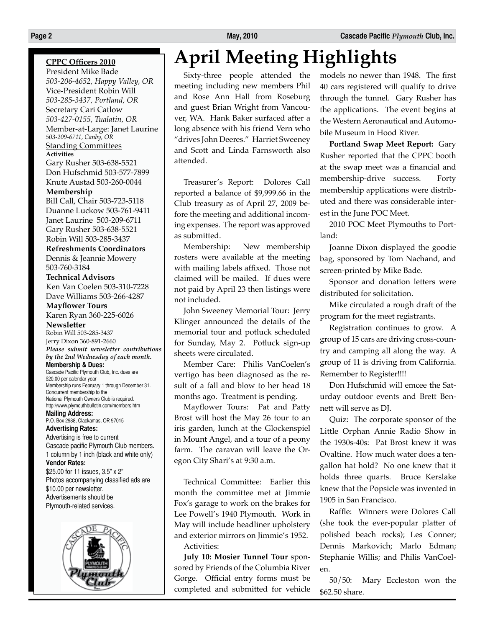### **CPPC Officers 2010**

President Mike Bade *503-206-4652, Happy Valley, OR* Vice-President Robin Will *503-285-3437, Portland, OR* Secretary Cari Catlow *503-427-0155, Tualatin, OR* Member-at-Large: Janet Laurine *503-209-6711, Canby, OR* Standing Committees **Activities**

Gary Rusher 503-638-5521 Don Hufschmid 503-577-7899 Knute Austad 503-260-0044 **Membership**

Bill Call, Chair 503-723-5118 Duanne Luckow 503-761-9411 Janet Laurine 503-209-6711 Gary Rusher 503-638-5521 Robin Will 503-285-3437

**Refreshments Coordinators** Dennis & Jeannie Mowery 503-760-3184

**Technical Advisors** Ken Van Coelen 503-310-7228 Dave Williams 503-266-4287

**Mayflower Tours** Karen Ryan 360-225-6026

**Newsletter** Robin Will 503-285-3437 Jerry Dixon 360-891-2660 *Please submit newsletter contributions by the 2nd Wednesday of each month.* **Membership & Dues:**

Cascade Pacific Plymouth Club, Inc. dues are \$20.00 per calendar year Membership runs February 1 through December 31. Concurrent membership to the National Plymouth Owners Club is required. http://www.plymouthbulletin.com/members.htm

**Mailing Address:** P.O. Box 2988, Clackamas, OR 97015

**Advertising Rates:** Advertising is free to current Cascade pacific Plymouth Club members. 1 column by 1 inch (black and white only)

**Vendor Rates:** \$25.00 for 11 issues, 3.5" x 2" Photos accompanying classified ads are \$10.00 per newsletter. Advertisements should be Plymouth-related services.



## **April Meeting Highlights**

Sixty-three people attended the meeting including new members Phil and Rose Ann Hall from Roseburg and guest Brian Wright from Vancouver, WA. Hank Baker surfaced after a long absence with his friend Vern who "drives John Deeres." Harriet Sweeney and Scott and Linda Farnsworth also attended.

Treasurer's Report: Dolores Call reported a balance of \$9,999.66 in the Club treasury as of April 27, 2009 before the meeting and additional incoming expenses. The report was approved as submitted.

Membership: New membership rosters were available at the meeting with mailing labels affixed. Those not claimed will be mailed. If dues were not paid by April 23 then listings were not included.

John Sweeney Memorial Tour: Jerry Klinger announced the details of the memorial tour and potluck scheduled for Sunday, May 2. Potluck sign-up sheets were circulated.

Member Care: Philis VanCoelen's vertigo has been diagnosed as the result of a fall and blow to her head 18 months ago. Treatment is pending.

Mayflower Tours: Pat and Patty Brost will host the May 26 tour to an iris garden, lunch at the Glockenspiel in Mount Angel, and a tour of a peony farm. The caravan will leave the Oregon City Shari's at 9:30 a.m.

Technical Committee: Earlier this month the committee met at Jimmie Fox's garage to work on the brakes for Lee Powell's 1940 Plymouth. Work in May will include headliner upholstery and exterior mirrors on Jimmie's 1952. Activities:

**July 10: Mosier Tunnel Tour** sponsored by Friends of the Columbia River Gorge. Official entry forms must be completed and submitted for vehicle models no newer than 1948. The first 40 cars registered will qualify to drive through the tunnel. Gary Rusher has the applications. The event begins at the Western Aeronautical and Automobile Museum in Hood River.

**Portland Swap Meet Report:** Gary Rusher reported that the CPPC booth at the swap meet was a financial and membership-drive success. Forty membership applications were distributed and there was considerable interest in the June POC Meet.

2010 POC Meet Plymouths to Portland:

Joanne Dixon displayed the goodie bag, sponsored by Tom Nachand, and screen-printed by Mike Bade.

Sponsor and donation letters were distributed for solicitation.

Mike circulated a rough draft of the program for the meet registrants.

Registration continues to grow. A group of 15 cars are driving cross-country and camping all along the way. A group of 11 is driving from California. Remember to Register!!!!

Don Hufschmid will emcee the Saturday outdoor events and Brett Bennett will serve as DJ.

Quiz: The corporate sponsor of the Little Orphan Annie Radio Show in the 1930s-40s: Pat Brost knew it was Ovaltine. How much water does a tengallon hat hold? No one knew that it holds three quarts. Bruce Kerslake knew that the Popsicle was invented in 1905 in San Francisco.

Raffle: Winners were Dolores Call (she took the ever-popular platter of polished beach rocks); Les Conner; Dennis Markovich; Marlo Edman; Stephanie Willis; and Philis VanCoelen.

50/50: Mary Eccleston won the \$62.50 share.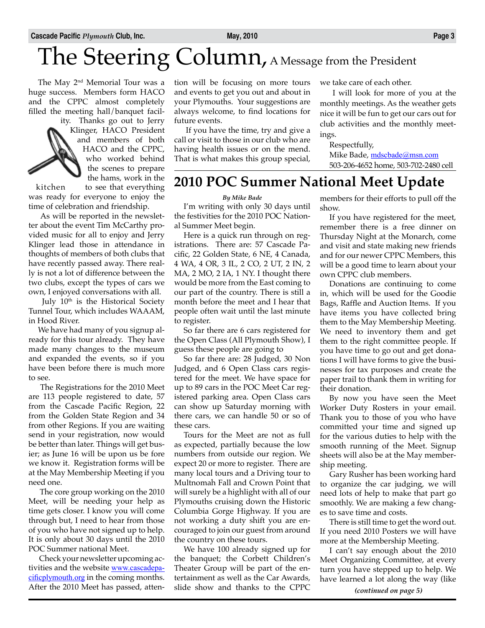# The Steering Column, A Message from the President

The May 2<sup>nd</sup> Memorial Tour was a huge success. Members form HACO and the CPPC almost completely filled the meeting hall/banquet facil-

ity. Thanks go out to Jerry Klinger, HACO President and members of both HACO and the CPPC, who worked behind the scenes to prepare the hams, work in the

kitchen to see that everything was ready for everyone to enjoy the time of celebration and friendship.

 As will be reported in the newsletter about the event Tim McCarthy provided music for all to enjoy and Jerry Klinger lead those in attendance in thoughts of members of both clubs that have recently passed away. There really is not a lot of difference between the two clubs, except the types of cars we own, I enjoyed conversations with all.

July 10<sup>th</sup> is the Historical Society Tunnel Tour, which includes WAAAM, in Hood River.

We have had many of you signup already for this tour already. They have made many changes to the museum and expanded the events, so if you have been before there is much more to see.

 The Registrations for the 2010 Meet are 113 people registered to date, 57 from the Cascade Pacific Region, 22 from the Golden State Region and 34 from other Regions. If you are waiting send in your registration, now would be better than later. Things will get busier; as June 16 will be upon us be fore we know it. Registration forms will be at the May Membership Meeting if you need one.

 The core group working on the 2010 Meet, will be needing your help as time gets closer. I know you will come through but, I need to hear from those of you who have not signed up to help. It is only about 30 days until the 2010 POC Summer national Meet.

 Check your newsletter upcoming activities and the website **www.cascadepa**cificplymouth.org in the coming months. After the 2010 Meet has passed, attention will be focusing on more tours and events to get you out and about in your Plymouths. Your suggestions are always welcome, to find locations for future events.

 If you have the time, try and give a call or visit to those in our club who are having health issues or on the mend. That is what makes this group special, we take care of each other.

 I will look for more of you at the monthly meetings. As the weather gets nice it will be fun to get our cars out for club activities and the monthly meetings.

Respectfully, Mike Bade, mdscbade@msn.com 503-206-4652 home, 503-702-2480 cell

### **2010 POC Summer National Meet Update**

#### *By Mike Bade*

I'm writing with only 30 days until the festivities for the 2010 POC National Summer Meet begin.

Here is a quick run through on registrations. There are: 57 Cascade Pacific, 22 Golden State, 6 NE, 4 Canada, 4 WA, 4 OR, 3 IL, 2 CO, 2 UT, 2 IN, 2 MA, 2 MO, 2 IA, 1 NY. I thought there would be more from the East coming to our part of the country. There is still a month before the meet and I hear that people often wait until the last minute to register.

So far there are 6 cars registered for the Open Class (All Plymouth Show), I guess these people are going to

So far there are: 28 Judged, 30 Non Judged, and 6 Open Class cars registered for the meet. We have space for up to 89 cars in the POC Meet Car registered parking area. Open Class cars can show up Saturday morning with there cars, we can handle 50 or so of these cars.

Tours for the Meet are not as full as expected, partially because the low numbers from outside our region. We expect 20 or more to register. There are many local tours and a Driving tour to Multnomah Fall and Crown Point that will surely be a highlight with all of our Plymouths cruising down the Historic Columbia Gorge Highway. If you are not working a duty shift you are encouraged to join our guest from around the country on these tours.

We have 100 already signed up for the banquet; the Corbett Children's Theater Group will be part of the entertainment as well as the Car Awards, slide show and thanks to the CPPC

members for their efforts to pull off the show.

If you have registered for the meet, remember there is a free dinner on Thursday Night at the Monarch, come and visit and state making new friends and for our newer CPPC Members, this will be a good time to learn about your own CPPC club members.

Donations are continuing to come in, which will be used for the Goodie Bags, Raffle and Auction Items. If you have items you have collected bring them to the May Membership Meeting. We need to inventory them and get them to the right committee people. If you have time to go out and get donations I will have forms to give the businesses for tax purposes and create the paper trail to thank them in writing for their donation.

By now you have seen the Meet Worker Duty Rosters in your email. Thank you to those of you who have committed your time and signed up for the various duties to help with the smooth running of the Meet. Signup sheets will also be at the May membership meeting.

Gary Rusher has been working hard to organize the car judging, we will need lots of help to make that part go smoothly. We are making a few changes to save time and costs.

There is still time to get the word out. If you need 2010 Posters we will have more at the Membership Meeting.

I can't say enough about the 2010 Meet Organizing Committee, at every turn you have stepped up to help. We have learned a lot along the way (like

*(continued on page 5)*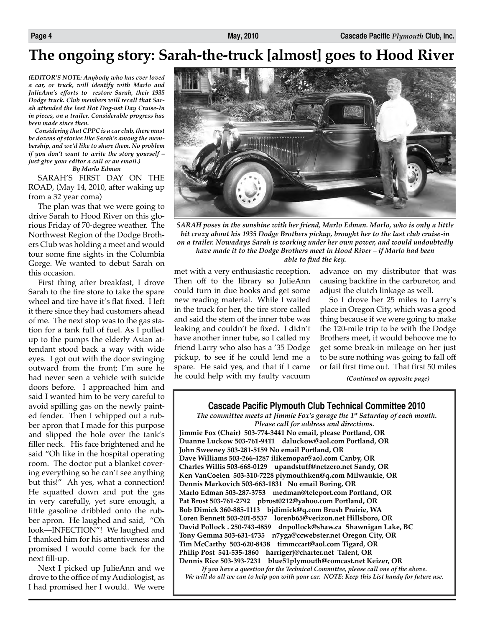### **The ongoing story: Sarah-the-truck [almost] goes to Hood River**

*(EDITOR'S NOTE: Anybody who has ever loved a car, or truck, will identify with Marlo and JulieAnn's efforts to restore Sarah, their 1935 Dodge truck. Club members will recall that Sarah attended the last Hot Dog-ust Day Cruise-In in pieces, on a trailer. Considerable progress has been made since then.* 

*Considering that CPPC is a car club, there must be dozens of stories like Sarah's among the membership, and we'd like to share them. No problem if you don't want to write the story yourself – just give your editor a call or an email.)*

*By Marlo Edman*

SARAH'S FIRST DAY ON THE ROAD, (May 14, 2010, after waking up from a 32 year coma)

The plan was that we were going to drive Sarah to Hood River on this glorious Friday of 70-degree weather. The Northwest Region of the Dodge Brothers Club was holding a meet and would tour some fine sights in the Columbia Gorge. We wanted to debut Sarah on this occasion.

First thing after breakfast, I drove Sarah to the tire store to take the spare wheel and tire have it's flat fixed. I left it there since they had customers ahead of me. The next stop was to the gas station for a tank full of fuel. As I pulled up to the pumps the elderly Asian attendant stood back a way with wide eyes. I got out with the door swinging outward from the front; I'm sure he had never seen a vehicle with suicide doors before. I approached him and said I wanted him to be very careful to avoid spilling gas on the newly painted fender. Then I whipped out a rubber apron that I made for this purpose and slipped the hole over the tank's filler neck. His face brightened and he said "Oh like in the hospital operating room. The doctor put a blanket covering everything so he can't see anything but this!" Ah yes, what a connection! He squatted down and put the gas in very carefully, yet sure enough, a little gasoline dribbled onto the rubber apron. He laughed and said, "Oh look—INFECTION"! We laughed and I thanked him for his attentiveness and promised I would come back for the next fill-up.

Next I picked up JulieAnn and we drove to the office of my Audiologist, as I had promised her I would. We were



*SARAH poses in the sunshine with her friend, Marlo Edman. Marlo, who is only a little bit crazy about his 1935 Dodge Brothers pickup, brought her to the last club cruise-in on a trailer. Nowadays Sarah is working under her own power, and would undoubtedly have made it to the Dodge Brothers meet in Hood River – if Marlo had been able to find the key.*

met with a very enthusiastic reception. Then off to the library so JulieAnn could turn in due books and get some new reading material. While I waited in the truck for her, the tire store called and said the stem of the inner tube was leaking and couldn't be fixed. I didn't have another inner tube, so I called my friend Larry who also has a '35 Dodge pickup, to see if he could lend me a spare. He said yes, and that if I came he could help with my faulty vacuum advance on my distributor that was causing backfire in the carburetor, and adjust the clutch linkage as well.

So I drove her 25 miles to Larry's place in Oregon City, which was a good thing because if we were going to make the 120-mile trip to be with the Dodge Brothers meet, it would behoove me to get some break-in mileage on her just to be sure nothing was going to fall off or fail first time out. That first 50 miles

*(Continued on opposite page)*

#### **Cascade Pacific Plymouth Club Technical Committee 2010**

*The committee meets at Jimmie Fox's garage the 1st Saturday of each month. Please call for address and directions.*

**Jimmie Fox (Chair) 503-774-3441 No email, please Portland, OR Duanne Luckow 503-761-9411 daluckow@aol.com Portland, OR John Sweeney 503-281-5159 No email Portland, OR Dave Williams 503-266-4287 ilikemopar@aol.com Canby, OR Charles Willis 503-668-0129 upandstuff@netzero.net Sandy, OR Ken VanCoelen 503-310-7228 plymouthken@q.com Milwaukie, OR Dennis Markovich 503-663-1831 No email Boring, OR Marlo Edman 503-287-3753 medman@teleport.com Portland, OR Pat Brost 503-761-2792 pbrost0212@yahoo.com Portland, OR Bob Dimick 360-885-1113 bjdimick@q.com Brush Prairie, WA Loren Bennett 503-201-5537 lorenb65@verizon.net Hillsboro, OR David Pollock . 250-743-4859 dnpollock@shaw.ca Shawnigan Lake, BC Tony Gemma 503-631-4735 n7yga@ccwebster.net Oregon City, OR Tim McCarthy 503-620-8438 timmccart@aol.com Tigard, OR Philip Post 541-535-1860 harrigerj@charter.net Talent, OR Dennis Rice 503-393-7231 blue51plymouth@comcast.net Keizer, OR**

*If you have a question for the Technical Committee, please call one of the above. We will do all we can to help you with your car. NOTE: Keep this List handy for future use.*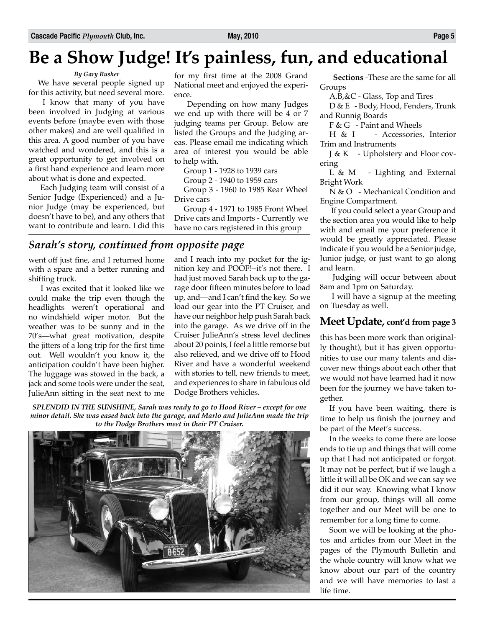## **Be a Show Judge! It's painless, fun, and educational**

#### *By Gary Rusher*

We have several people signed up for this activity, but need several more.

 I know that many of you have been involved in Judging at various events before (maybe even with those other makes) and are well qualified in this area. A good number of you have watched and wondered, and this is a great opportunity to get involved on a first hand experience and learn more about what is done and expected.

 Each Judging team will consist of a Senior Judge (Experienced) and a Junior Judge (may be experienced, but doesn't have to be), and any others that want to contribute and learn. I did this

for my first time at the 2008 Grand National meet and enjoyed the experience.

 Depending on how many Judges we end up with there will be 4 or 7 judging teams per Group. Below are listed the Groups and the Judging areas. Please email me indicating which area of interest you would be able to help with.

Group 1 - 1928 to 1939 cars

Group 2 - 1940 to 1959 cars

Group 3 - 1960 to 1985 Rear Wheel Drive cars

Group 4 - 1971 to 1985 Front Wheel Drive cars and Imports - Currently we have no cars registered in this group

### *Sarah's story, continued from opposite page*

went off just fine, and I returned home with a spare and a better running and shifting truck.

 I was excited that it looked like we could make the trip even though the headlights weren't operational and no windshield wiper motor. But the weather was to be sunny and in the 70's—what great motivation, despite the jitters of a long trip for the first time out. Well wouldn't you know it, the anticipation couldn't have been higher. The luggage was stowed in the back, a jack and some tools were under the seat, JulieAnn sitting in the seat next to me

and I reach into my pocket for the ignition key and POOF!--it's not there. I had just moved Sarah back up to the garage door fifteen minutes before to load up, and—and I can't find the key. So we load our gear into the PT Cruiser, and have our neighbor help push Sarah back into the garage. As we drive off in the Cruiser JulieAnn's stress level declines about 20 points, I feel a little remorse but also relieved, and we drive off to Hood River and have a wonderful weekend with stories to tell, new friends to meet, and experiences to share in fabulous old Dodge Brothers vehicles.

*SPLENDID IN THE SUNSHINE, Sarah was ready to go to Hood River – except for one minor detail. She was eased back into the garage, and Marlo and JulieAnn made the trip to the Dodge Brothers meet in their PT Cruiser.*



**Sections** -These are the same for all Groups

A,B,&C - Glass, Top and Tires

D & E - Body, Hood, Fenders, Trunk and Runnig Boards

F & G - Paint and Wheels

H & I - Accessories, Interior Trim and Instruments

J & K - Upholstery and Floor covering

L & M - Lighting and External Bright Work

N & O - Mechanical Condition and Engine Compartment.

 If you could select a year Group and the section area you would like to help with and email me your preference it would be greatly appreciated. Please indicate if you would be a Senior judge, Junior judge, or just want to go along and learn.

 Judging will occur between about 8am and 1pm on Saturday.

 I will have a signup at the meeting on Tuesday as well.

### **Meet Update, cont'd from page 3**

this has been more work than originally thought), but it has given opportunities to use our many talents and discover new things about each other that we would not have learned had it now been for the journey we have taken together.

If you have been waiting, there is time to help us finish the journey and be part of the Meet's success.

In the weeks to come there are loose ends to tie up and things that will come up that I had not anticipated or forgot. It may not be perfect, but if we laugh a little it will all be OK and we can say we did it our way. Knowing what I know from our group, things will all come together and our Meet will be one to remember for a long time to come.

Soon we will be looking at the photos and articles from our Meet in the pages of the Plymouth Bulletin and the whole country will know what we know about our part of the country and we will have memories to last a life time.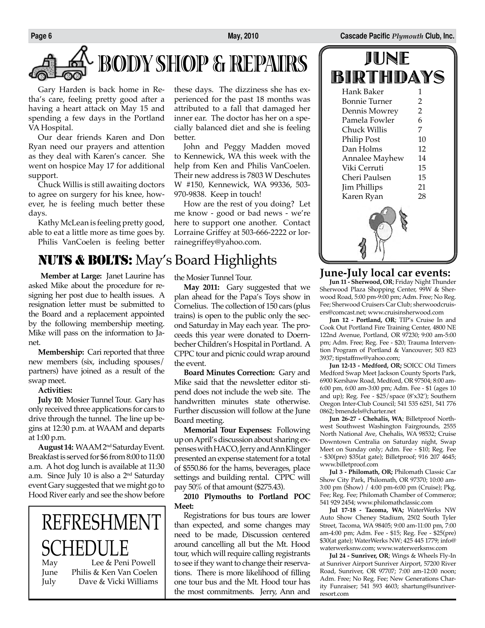**Page 6 May, 2010 Cascade Pacific** *Plymouth* **Club, Inc.**

# **BODY SHOP & REPAIRS**

Gary Harden is back home in Retha's care, feeling pretty good after a having a heart attack on May 15 and spending a few days in the Portland VA Hospital.

Our dear friends Karen and Don Ryan need our prayers and attention as they deal with Karen's cancer. She went on hospice May 17 for additional support.

Chuck Willis is still awaiting doctors to agree on surgery for his knee, however, he is feeling much better these days.

Kathy McLean is feeling pretty good, able to eat a little more as time goes by. Philis VanCoelen is feeling better

### NUTS & BOLTS: May's Board Highlights

 **Member at Large:** Janet Laurine has asked Mike about the procedure for resigning her post due to health issues. A resignation letter must be submitted to the Board and a replacement appointed by the following membership meeting. Mike will pass on the information to Janet.

**Membership:** Cari reported that three new members (six, including spouses/ partners) have joined as a result of the swap meet.

#### **Activities:**

**July 10:** Mosier Tunnel Tour. Gary has only received three applications for cars to drive through the tunnel. The line up begins at 12:30 p.m. at WAAM and departs at 1:00 p.m.

**August 14:** WAAM 2nd Saturday Event. Breakfast is served for \$6 from 8:00 to 11:00 a.m. A hot dog lunch is available at 11:30 a.m. Since July 10 is also a 2nd Saturday event Gary suggested that we might go to Hood River early and see the show before

### REFRESHMENT  $\mathop{\rm SCHEDU}\limits_{\scriptscriptstyle\rm Lee}$  & Lee & Peni Powell June Philis & Ken Van Coelen

July Dave & Vicki Williams

these days. The dizziness she has experienced for the past 18 months was attributed to a fall that damaged her inner ear. The doctor has her on a specially balanced diet and she is feeling better.

John and Peggy Madden moved to Kennewick, WA this week with the help from Ken and Philis VanCoelen. Their new address is 7803 W Deschutes W #150, Kennewick, WA 99336, 503- 970-9838. Keep in touch!

How are the rest of you doing? Let me know - good or bad news - we're here to support one another. Contact Lorraine Griffey at 503-666-2222 or lorrainegriffey@yahoo.com.

#### the Mosier Tunnel Tour.

**May 2011:** Gary suggested that we plan ahead for the Papa's Toys show in Cornelius. The collection of 150 cars (plus trains) is open to the public only the second Saturday in May each year. The proceeds this year were donated to Doernbecher Children's Hospital in Portland. A CPPC tour and picnic could wrap around the event.

**Board Minutes Correction:** Gary and Mike said that the newsletter editor stipend does not include the web site. The handwritten minutes state otherwise. Further discussion will follow at the June Board meeting.

**Memorial Tour Expenses:** Following up on April's discussion about sharing expenses with HACO, Jerry and Ann Klinger presented an expense statement for a total of \$550.86 for the hams, beverages, place settings and building rental. CPPC will pay 50% of that amount (\$275.43).

**2010 Plymouths to Portland POC Meet:**

Registrations for bus tours are lower than expected, and some changes may need to be made, Discussion centered around cancelling all but the Mt. Hood tour, which will require calling registrants to see if they want to change their reservations. There is more likelihood of filling one tour bus and the Mt. Hood tour has the most commitments. Jerry, Ann and



#### **June-July local car events:**

**Jun 11 - Sherwood, OR**; Friday Night Thunder Sherwood Plaza Shopping Center, 99W & Sherwood Road, 5:00 pm-9:00 pm; Adm. Free; No Reg. Fee; Sherwood Cruisers Car Club; sherwoodcruisers@comcast.net; www.cruisinsherwood.com

**Jun 12 - Portland, OR**; TIP's Cruise In and Cook Out Portland Fire Training Center, 4800 NE 122nd Avenue, Portland, OR 97230; 9:00 am-5:00 pm; Adm. Free; Reg. Fee - \$20; Trauma Intervention Program of Portland & Vancouver; 503 823 3937; tipstaffnw@yahoo.com;

**Jun 12-13 - Medford, OR;** SOICC Old Timers Medford Swap Meet Jackson County Sports Park, 6900 Kershaw Road, Medford, OR 97504; 8:00 am-6:00 pm, 6:00 am-3:00 pm; Adm. Fee - \$1 (ages 10 and up); Reg. Fee - \$25/space (8'x32'); Southern Oregon Inter-Club Council; 541 535 6251, 541 776 0862; bmendels@charter.net

**Jun 26-27 - Chehalis, WA**; Billetproof Northwest Southwest Washington Fairgrounds, 2555 North National Ave, Chehalis, WA 98532; Cruise Downtown Centralia on Saturday night, Swap Meet on Sunday only; Adm. Fee - \$10; Reg. Fee - \$30(pre) \$35(at gate); Billetproof; 916 207 4645; www.billetproof.com

**Jul 3 - Philomath, OR;** Philomath Classic Car Show City Park, Philomath, OR 97370; 10:00 am-3:00 pm (Show) / 4:00 pm-6:00 pm (Cruise); Pkg. Fee; Reg. Fee; Philomath Chamber of Commerce; 541 929 2454; www.philomathclassic.com

**Jul 17-18 - Tacoma, WA;** WaterWerks NW Auto Show Cheney Stadium, 2502 South Tyler Street, Tacoma, WA 98405; 9:00 am-11:00 pm, 7:00 am-4:00 pm; Adm. Fee - \$15; Reg. Fee - \$25(pre) \$30(at gate); WaterWerks NW; 425 445 1779; info@ waterwerksnw.com; www.waterwerksnw.com

**Jul 24 - Sunriver, OR**; Wings & Wheels Fly-In at Sunriver Airport Sunriver Airport, 57200 River Road, Sunriver, OR 97707; 7:00 am-12:00 noon; Adm. Free; No Reg. Fee; New Generations Charity Funraiser; 541 593 4603; shartung@sunriverresort.com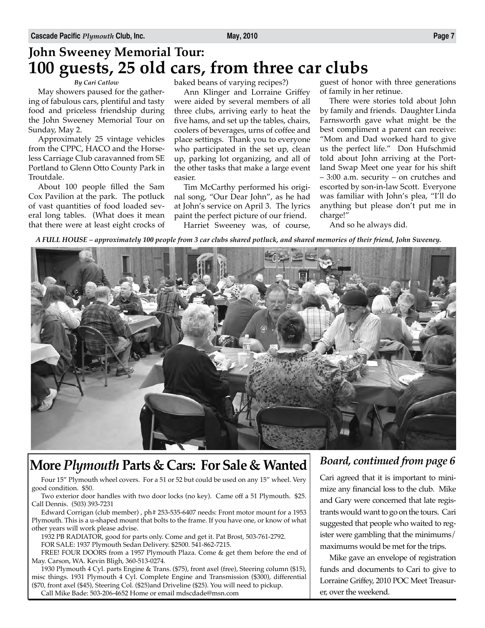### **John Sweeney Memorial Tour: 100 guests, 25 old cars, from three car clubs**

#### *By Cari Catlow*

May showers paused for the gathering of fabulous cars, plentiful and tasty food and priceless friendship during the John Sweeney Memorial Tour on Sunday, May 2.

Approximately 25 vintage vehicles from the CPPC, HACO and the Horseless Carriage Club caravanned from SE Portland to Glenn Otto County Park in Troutdale.

About 100 people filled the Sam Cox Pavilion at the park. The potluck of vast quantities of food loaded several long tables. (What does it mean that there were at least eight crocks of

baked beans of varying recipes?)

Ann Klinger and Lorraine Griffey were aided by several members of all three clubs, arriving early to heat the five hams, and set up the tables, chairs, coolers of beverages, urns of coffee and place settings. Thank you to everyone who participated in the set up, clean up, parking lot organizing, and all of the other tasks that make a large event easier.

Tim McCarthy performed his original song, "Our Dear John", as he had at John's service on April 3. The lyrics paint the perfect picture of our friend.

Harriet Sweeney was, of course,

guest of honor with three generations of family in her retinue.

There were stories told about John by family and friends. Daughter Linda Farnsworth gave what might be the best compliment a parent can receive: "Mom and Dad worked hard to give us the perfect life." Don Hufschmid told about John arriving at the Portland Swap Meet one year for his shift – 3:00 a.m. security – on crutches and escorted by son-in-law Scott. Everyone was familiar with John's plea, "I'll do anything but please don't put me in charge!"

And so he always did.

*A FULL HOUSE – approximately 100 people from 3 car clubs shared potluck, and shared memories of their friend, John Sweeney.*



### **More** *Plymouth* **Parts & Cars: For Sale & Wanted**

Four 15" Plymouth wheel covers. For a 51 or 52 but could be used on any 15" wheel. Very good condition. \$50.

Two exterior door handles with two door locks (no key). Came off a 51 Plymouth. \$25. Call Dennis. (503) 393-7231

Edward Corrigan (club member) , ph# 253-535-6407 needs: Front motor mount for a 1953 Plymouth. This is a u-shaped mount that bolts to the frame. If you have one, or know of what other years will work please advise.

1932 PB RADIATOR, good for parts only. Come and get it. Pat Brost, 503-761-2792. FOR SALE: 1937 Plymouth Sedan Delivery. \$2500. 541-862-7215.

FREE! FOUR DOORS from a 1957 Plymouth Plaza. Come & get them before the end of May. Carson, WA. Kevin Bligh, 360-513-0274.

1930 Plymouth 4 Cyl. parts Engine & Trans. (\$75), front axel (free), Steering column (\$15), misc things. 1931 Plymouth 4 Cyl. Complete Engine and Transmission (\$300), differential (\$70, front axel (\$45), Steering Col. (\$25)and Driveline (\$25). You will need to pickup. Call Mike Bade: 503-206-4652 Home or email mdscdade@msn.com

### *Board, continued from page 6*

Cari agreed that it is important to minimize any financial loss to the club. Mike and Gary were concerned that late registrants would want to go on the tours. Cari suggested that people who waited to register were gambling that the minimums/ maximums would be met for the trips.

Mike gave an envelope of registration funds and documents to Cari to give to Lorraine Griffey, 2010 POC Meet Treasurer, over the weekend.